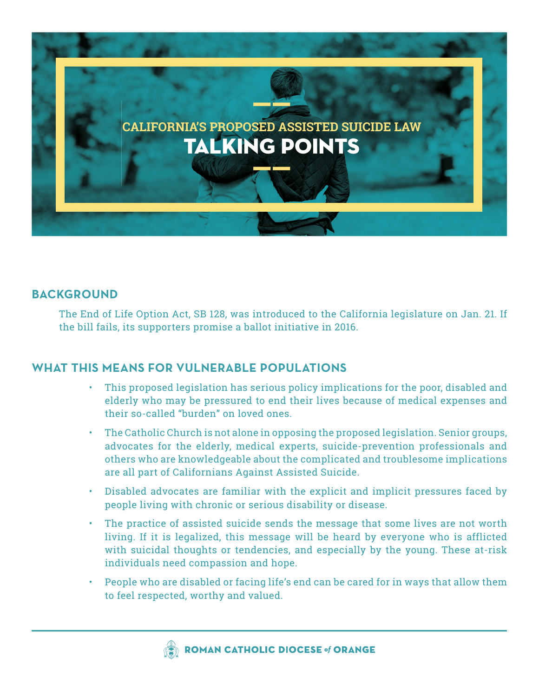

# **BACKGROUND**

The End of Life Option Act, SB 128, was introduced to the California legislature on Jan. 21. If the bill fails, its supporters promise a ballot initiative in 2016.

# **WHAT THIS MEANS FOR VULNERABLE POPULATIONS**

- This proposed legislation has serious policy implications for the poor, disabled and elderly who may be pressured to end their lives because of medical expenses and their so-called "burden" on loved ones.
- The Catholic Church is not alone in opposing the proposed legislation. Senior groups, advocates for the elderly, medical experts, suicide-prevention professionals and others who are knowledgeable about the complicated and troublesome implications are all part of Californians Against Assisted Suicide.
- Disabled advocates are familiar with the explicit and implicit pressures faced by people living with chronic or serious disability or disease.
- The practice of assisted suicide sends the message that some lives are not worth living. If it is legalized, this message will be heard by everyone who is afflicted with suicidal thoughts or tendencies, and especially by the young. These at-risk individuals need compassion and hope.
- People who are disabled or facing life's end can be cared for in ways that allow them to feel respected, worthy and valued.